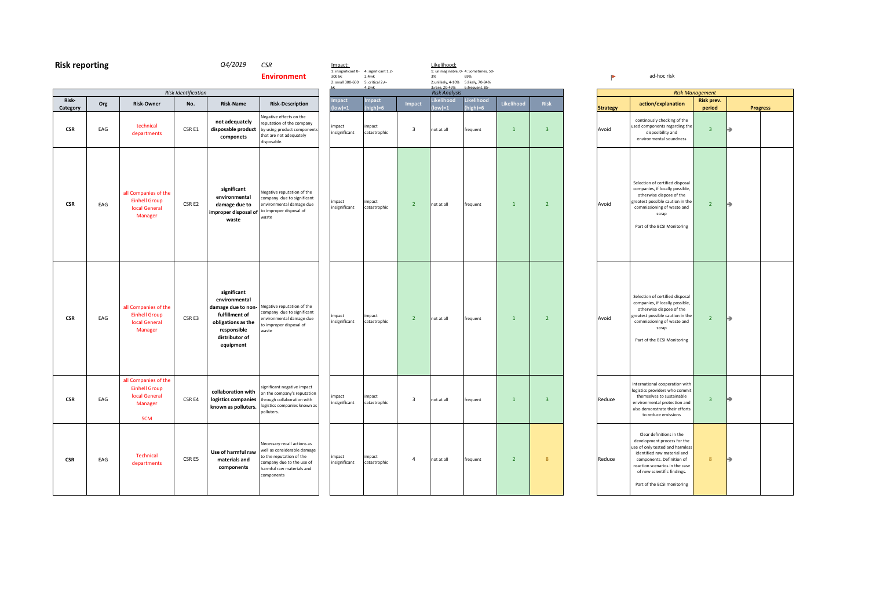| <b>Risk reporting</b> |     |                                                                                               |                            | Q4/2019                                                                                                                                  | <b>CSR</b><br><b>Environment</b>                                                                                                                               | Impact:<br>300 k€<br>2: small 300-600 | 1: insignificant u- 4: significant 1,2-<br>$2,4m\in$<br>5: critical 2,4- |                         | Likelihood:<br>3%<br>2:unlikely, 4-10% 5:likely, 70-84% | 1: unimaginable, u- 4: sometimes, su-<br>69% |                |                         | Þ               | ad-hoc risk                                                                                                                                                                                  |
|-----------------------|-----|-----------------------------------------------------------------------------------------------|----------------------------|------------------------------------------------------------------------------------------------------------------------------------------|----------------------------------------------------------------------------------------------------------------------------------------------------------------|---------------------------------------|--------------------------------------------------------------------------|-------------------------|---------------------------------------------------------|----------------------------------------------|----------------|-------------------------|-----------------|----------------------------------------------------------------------------------------------------------------------------------------------------------------------------------------------|
| Risk-                 |     |                                                                                               | <b>Risk Identification</b> |                                                                                                                                          |                                                                                                                                                                | mpact                                 | mpact                                                                    |                         | <b>Risk Analysis</b><br>Likelihood                      | Likelihood                                   |                |                         |                 |                                                                                                                                                                                              |
| Category              | Org | <b>Risk-Owner</b>                                                                             | No.                        | <b>Risk-Name</b>                                                                                                                         | <b>Risk-Description</b>                                                                                                                                        | $low)=1$                              | $h$ igh $) = 6$                                                          | Impact                  | $ low =1$                                               | $(hieh)=6$                                   | Likelihood     | Risk                    | <b>Strategy</b> | action/explana                                                                                                                                                                               |
| <b>CSR</b>            | EAG | technical<br>departments                                                                      | CSR E1                     | not adequately<br>disposable product<br>componets                                                                                        | <b>Negative effects on the</b><br>eputation of the company<br>by using product components<br>hat are not adequately<br>disposable.                             | impact<br>insignificant               | impact<br>catastrophic                                                   | $\overline{\mathbf{3}}$ | not at all                                              | frequent                                     | $\mathbf{1}$   | $\overline{\mathbf{3}}$ | Avoid           | continously checking<br>used components rega<br>disposibility ar<br>environmental sour                                                                                                       |
| <b>CSR</b>            | EAG | all Companies of the<br><b>Einhell Group</b><br><b>local General</b><br>Manager               | CSR E2                     | significant<br>environmental<br>damage due to<br>improper disposal of<br>waste                                                           | <b>Negative reputation of the</b><br>company due to significant<br>environmental damage due<br>to improper disposal of<br>waste                                | impact<br>insignificant               | impact<br>catastrophic                                                   | $\overline{2}$          | not at all                                              | frequent                                     | $\mathbf{1}$   | $\overline{2}$          | Avoid           | Selection of certified<br>companies, if locally<br>otherwise dispose<br>greatest possible caut<br>commissioning of wa<br>scrap<br>Part of the BCSI Mor                                       |
| <b>CSR</b>            | EAG | all Companies of the<br><b>Einhell Group</b><br><b>local General</b><br>Manager               | CSR <sub>E3</sub>          | significant<br>environmental<br>damage due to non-<br>fulfillment of<br>obligations as the<br>responsible<br>distributor of<br>equipment | <b>Negative reputation of the</b><br>company due to significant<br>environmental damage due<br>to improper disposal of<br>waste                                | impact<br>insignificant               | impact<br>catastrophic                                                   | $\overline{2}$          | not at all                                              | frequent                                     | $\overline{1}$ | $\overline{2}$          | Avoid           | Selection of certified<br>companies, if locally<br>otherwise dispose<br>greatest possible caut<br>commissioning of wa<br>scrap<br>Part of the BCSI Mor                                       |
| <b>CSR</b>            | EAG | all Companies of the<br><b>Einhell Group</b><br><b>local General</b><br>Manager<br><b>SCM</b> | CSR <sub>E4</sub>          | collaboration with<br>logistics companies<br>known as polluters.                                                                         | significant negative impact<br>on the company's reputation<br>through collaboration with<br>logistics companies known as<br>polluters.                         | impact<br>insignificant               | impact<br>catastrophic                                                   | $\overline{\mathbf{3}}$ | not at all                                              | frequent                                     | $\overline{1}$ | $\overline{3}$          | Reduce          | International coopera<br>logistics providers wh<br>themselves to susta<br>environmental protec<br>also demonstrate the<br>to reduce emissi                                                   |
| <b>CSR</b>            | EAG | <b>Technical</b><br>departments                                                               | CSR E5                     | Use of harmful raw<br>materials and<br>components                                                                                        | Necessary recall actions as<br>well as considerable damage<br>to the reputation of the<br>company due to the use of<br>narmful raw materials and<br>components | impact<br>insignificant               | impact<br>catastrophic                                                   | $\overline{4}$          | not at all                                              | frequent                                     | $\overline{2}$ | 8                       | Reduce          | Clear definitions in<br>development proces:<br>use of only tested and<br>identified raw mate<br>components. Defini<br>reaction scenarios in<br>of new scientific fir<br>Part of the BCSI mor |

**2 Strategy action/explanation Risk prev. period** continously checking of the used components regarding the disposibility and environmental soundness  $3<sup>°</sup>$ Selection of certified disposal companies, if locally possible, otherwise dispose of the greatest possible caution in the commissioning of waste and scrap Part of the BCSI Monitoring 2  $\rightarrow$ Selection of certified disposal companies, if locally possible, otherwise dispose of the greatest possible caution in the commissioning of waste and scrap Part of the BCSI Monitoring  $2 \rightarrow$ International cooperation with logistics providers who commit themselves to sustainable environmental protection and also demonstrate their efforts to reduce emissions 3 0 Clear definitions in the development process for the use of only tested and harmless identified raw material and components. Definition of reaction scenarios in the case of new scientific findings.  $8 \rightarrow$ **Progress**

*Risk Management*

Part of the BCSI monitoring